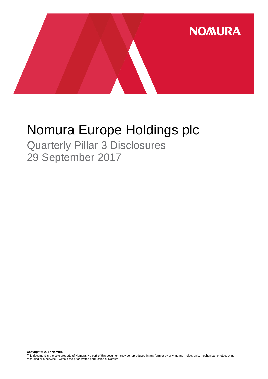

# Nomura Europe Holdings plc

Quarterly Pillar 3 Disclosures 29 September 2017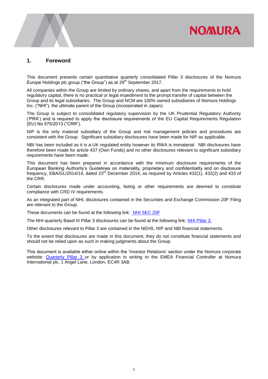# **NOMURA**

### **1. Foreword**

This document presents certain quantitative quarterly consolidated Pillar 3 disclosures of the Nomura Europe Holdings plc group ("the Group") as at  $29<sup>th</sup>$  September 2017.

All companies within the Group are limited by ordinary shares, and apart from the requirements to hold regulatory capital, there is no practical or legal impediment to the prompt transfer of capital between the Group and its legal subsidiaries. The Group and NCM are 100% owned subsidiaries of Nomura Holdings Inc. ("NHI"), the ultimate parent of the Group (incorporated in Japan).

The Group is subject to consolidated regulatory supervision by the UK Prudential Regulatory Authority ('PRA') and is required to apply the disclosure requirements of the EU Capital Requirements Regulation (EU) No 575/2013 ("CRR").

NIP is the only material subsidiary of the Group and risk management policies and procedures are consistent with the Group. Significant subsidiary disclosures have been made for NIP as applicable.

NBI has been included as it is a UK regulated entity however its RWA is immaterial. NBI disclosures have therefore been made for article 437 (Own Funds) and no other disclosures relevant to significant subsidiary requirements have been made.

This document has been prepared in accordance with the minimum disclosure requirements of the European Banking Authority's Guidelines on materiality, proprietary and confidentiality and on disclosure frequency, EBA/GL/2014/14, dated 23<sup>rd</sup> December 2014, as required by Articles 432(1), 432(2) and 433 of the CRR.

Certain disclosures made under accounting, listing or other requirements are deemed to constitute compliance with CRD IV requirements.

As an integrated part of NHI, disclosures contained in the Securities and Exchange Commission 20F Filing are relevant to the Group.

These documents can be found at the following link: [NHI SEC 20F](http://www.nomuraholdings.com/investor/library/sec/index.html)

The NHI quarterly Basel III Pillar 3 disclosures can be found at the following link: [NHI Pillar 3.](http://www.nomuraholdings.com/investor/summary/highlight/ratio.html)

Other disclosures relevant to Pillar 3 are contained in the NEHS, NIP and NBI financial statements.

To the extent that disclosures are made in this document, they do not constitute financial statements and should not be relied upon as such in making judgments about the Group.

This document is available either online within the 'Investor Relations' section under the Nomura corporate website: [Quarterly Pillar 3](https://www.nomuranow.com/portal/site/nnextranet/en/regulatory-disclosures/) or by application in writing to the EMEA Financial Controller at Nomura International plc, 1 Angel Lane, London, EC4R 3AB.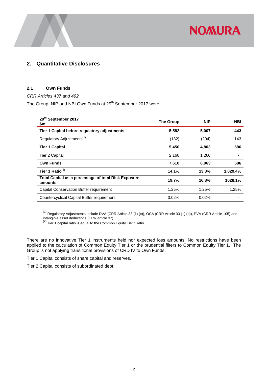

## **2. Quantitative Disclosures**

### **2.1 Own Funds**

#### *CRR Articles 437 and 492*

The Group, NIP and NBI Own Funds at 29<sup>th</sup> September 2017 were:

| 29th September 2017<br>\$m                                      | <b>The Group</b> | <b>NIP</b> | <b>NBI</b> |
|-----------------------------------------------------------------|------------------|------------|------------|
| Tier 1 Capital before regulatory adjustments                    | 5,582            | 5,007      | 443        |
| Regulatory Adjustments <sup>(1)</sup>                           | (132)            | (204)      | 143        |
| <b>Tier 1 Capital</b>                                           | 5,450            | 4,803      | 586        |
| Tier 2 Capital                                                  | 2,160            | 1,260      |            |
| <b>Own Funds</b>                                                | 7,610            | 6,063      | 586        |
| Tier 1 Ratio $^{(2)}$                                           | 14.1%            | 13.3%      | 1,029.4%   |
| Total Capital as a percentage of total Risk Exposure<br>amounts | 19.7%            | 16.8%      | 1028.1%    |
| Capital Conservation Buffer requirement                         | 1.25%            | 1.25%      | 1.25%      |
| Countercyclical Capital Buffer requirement                      | 0.02%            | 0.02%      |            |

 $^{(1)}$  Regulatory Adjustments include DVA (CRR Article 33 (1) (c)), OCA (CRR Article 33 (1) (b)), PVA (CRR Article 105) and

intangible asset deductions (CRR article 37)<br><sup>(2)</sup> Tier 1 capital ratio is equal to the Common Equity Tier 1 ratio

There are no innovative Tier 1 instruments held nor expected loss amounts. No restrictions have been applied to the calculation of Common Equity Tier 1 or the prudential filters to Common Equity Tier 1. The Group is not applying transitional provisions of CRD IV to Own Funds.

Tier 1 Capital consists of share capital and reserves.

Tier 2 Capital consists of subordinated debt.